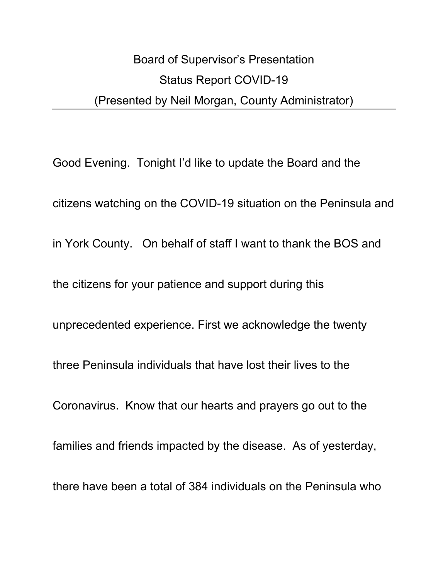# Board of Supervisor's Presentation Status Report COVID-19 (Presented by Neil Morgan, County Administrator)

Good Evening. Tonight I'd like to update the Board and the citizens watching on the COVID-19 situation on the Peninsula and in York County. On behalf of staff I want to thank the BOS and the citizens for your patience and support during this unprecedented experience. First we acknowledge the twenty three Peninsula individuals that have lost their lives to the Coronavirus. Know that our hearts and prayers go out to the families and friends impacted by the disease. As of yesterday, there have been a total of 384 individuals on the Peninsula who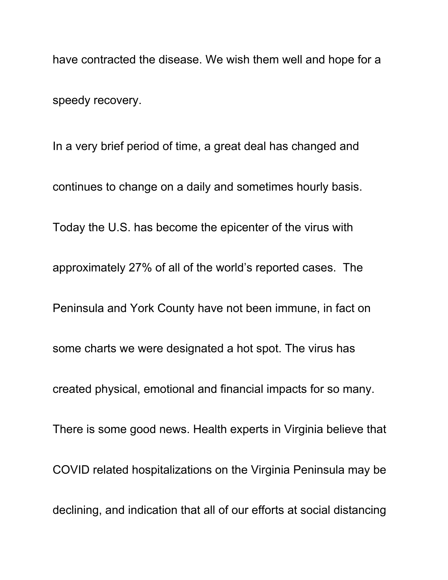have contracted the disease. We wish them well and hope for a speedy recovery.

In a very brief period of time, a great deal has changed and continues to change on a daily and sometimes hourly basis. Today the U.S. has become the epicenter of the virus with approximately 27% of all of the world's reported cases. The Peninsula and York County have not been immune, in fact on some charts we were designated a hot spot. The virus has created physical, emotional and financial impacts for so many. There is some good news. Health experts in Virginia believe that COVID related hospitalizations on the Virginia Peninsula may be declining, and indication that all of our efforts at social distancing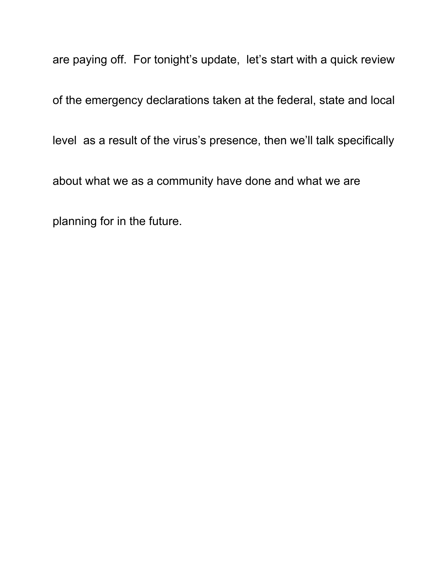are paying off. For tonight's update, let's start with a quick review

of the emergency declarations taken at the federal, state and local

level as a result of the virus's presence, then we'll talk specifically

about what we as a community have done and what we are

planning for in the future.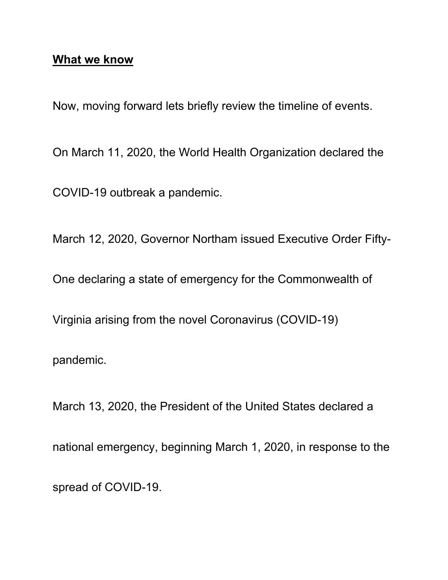## **What we know**

Now, moving forward lets briefly review the timeline of events.

On March 11, 2020, the World Health Organization declared the

COVID-19 outbreak a pandemic.

March 12, 2020, Governor Northam issued Executive Order Fifty-

One declaring a state of emergency for the Commonwealth of

Virginia arising from the novel Coronavirus (COVID-19)

pandemic.

March 13, 2020, the President of the United States declared a national emergency, beginning March 1, 2020, in response to the spread of COVID-19.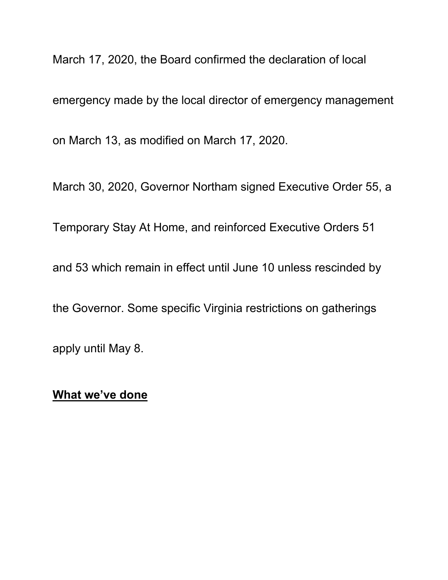March 17, 2020, the Board confirmed the declaration of local

emergency made by the local director of emergency management

on March 13, as modified on March 17, 2020.

March 30, 2020, Governor Northam signed Executive Order 55, a

Temporary Stay At Home, and reinforced Executive Orders 51

and 53 which remain in effect until June 10 unless rescinded by

the Governor. Some specific Virginia restrictions on gatherings

apply until May 8.

#### **What we've done**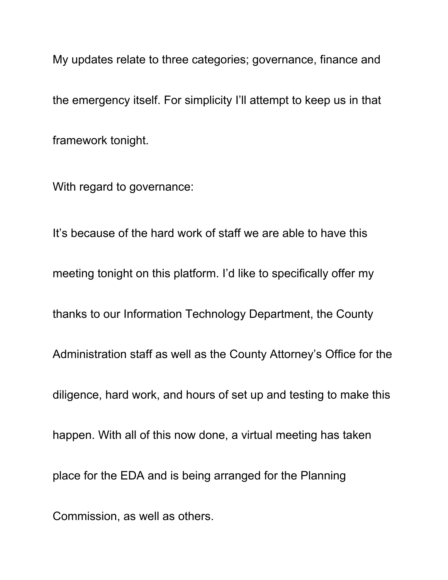My updates relate to three categories; governance, finance and the emergency itself. For simplicity I'll attempt to keep us in that framework tonight.

With regard to governance:

It's because of the hard work of staff we are able to have this meeting tonight on this platform. I'd like to specifically offer my thanks to our Information Technology Department, the County Administration staff as well as the County Attorney's Office for the diligence, hard work, and hours of set up and testing to make this happen. With all of this now done, a virtual meeting has taken place for the EDA and is being arranged for the Planning Commission, as well as others.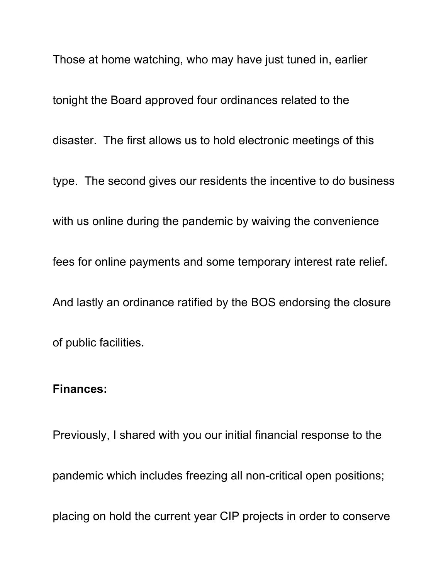Those at home watching, who may have just tuned in, earlier tonight the Board approved four ordinances related to the disaster. The first allows us to hold electronic meetings of this type. The second gives our residents the incentive to do business with us online during the pandemic by waiving the convenience fees for online payments and some temporary interest rate relief. And lastly an ordinance ratified by the BOS endorsing the closure of public facilities.

## **Finances:**

Previously, I shared with you our initial financial response to the pandemic which includes freezing all non-critical open positions; placing on hold the current year CIP projects in order to conserve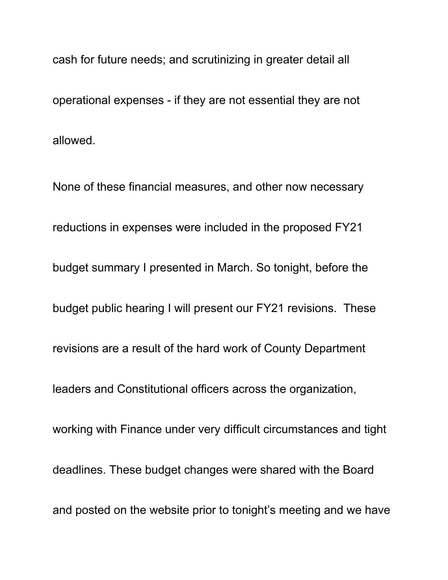cash for future needs; and scrutinizing in greater detail all operational expenses - if they are not essential they are not allowed.

None of these financial measures, and other now necessary reductions in expenses were included in the proposed FY21 budget summary I presented in March. So tonight, before the budget public hearing I will present our FY21 revisions. These revisions are a result of the hard work of County Department leaders and Constitutional officers across the organization, working with Finance under very difficult circumstances and tight deadlines. These budget changes were shared with the Board and posted on the website prior to tonight's meeting and we have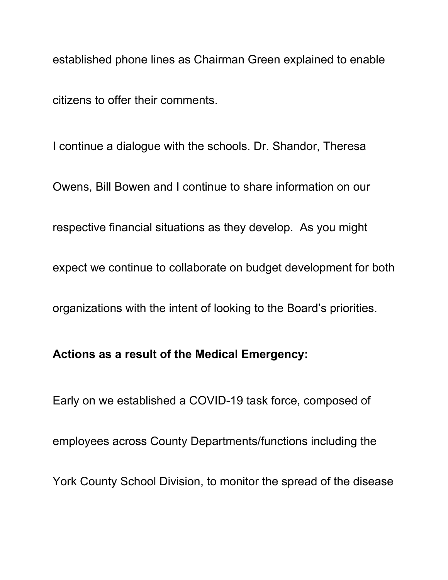established phone lines as Chairman Green explained to enable citizens to offer their comments.

I continue a dialogue with the schools. Dr. Shandor, Theresa Owens, Bill Bowen and I continue to share information on our respective financial situations as they develop. As you might expect we continue to collaborate on budget development for both organizations with the intent of looking to the Board's priorities.

# **Actions as a result of the Medical Emergency:**

Early on we established a COVID-19 task force, composed of employees across County Departments/functions including the York County School Division, to monitor the spread of the disease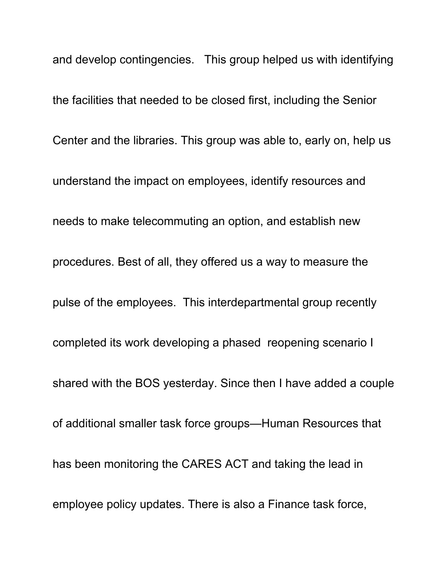and develop contingencies. This group helped us with identifying the facilities that needed to be closed first, including the Senior Center and the libraries. This group was able to, early on, help us understand the impact on employees, identify resources and needs to make telecommuting an option, and establish new procedures. Best of all, they offered us a way to measure the pulse of the employees. This interdepartmental group recently completed its work developing a phased reopening scenario I shared with the BOS yesterday. Since then I have added a couple of additional smaller task force groups—Human Resources that has been monitoring the CARES ACT and taking the lead in employee policy updates. There is also a Finance task force,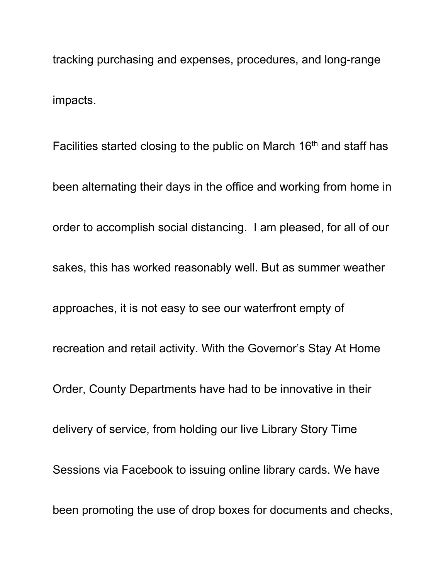tracking purchasing and expenses, procedures, and long-range impacts.

Facilities started closing to the public on March  $16<sup>th</sup>$  and staff has been alternating their days in the office and working from home in order to accomplish social distancing. I am pleased, for all of our sakes, this has worked reasonably well. But as summer weather approaches, it is not easy to see our waterfront empty of recreation and retail activity. With the Governor's Stay At Home Order, County Departments have had to be innovative in their delivery of service, from holding our live Library Story Time Sessions via Facebook to issuing online library cards. We have been promoting the use of drop boxes for documents and checks,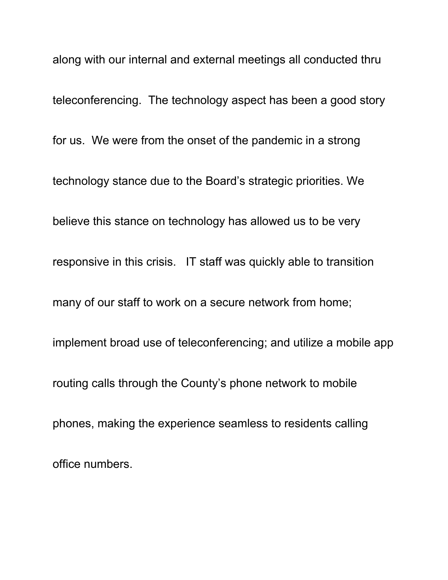along with our internal and external meetings all conducted thru teleconferencing. The technology aspect has been a good story for us. We were from the onset of the pandemic in a strong technology stance due to the Board's strategic priorities. We believe this stance on technology has allowed us to be very responsive in this crisis. IT staff was quickly able to transition many of our staff to work on a secure network from home; implement broad use of teleconferencing; and utilize a mobile app routing calls through the County's phone network to mobile phones, making the experience seamless to residents calling office numbers.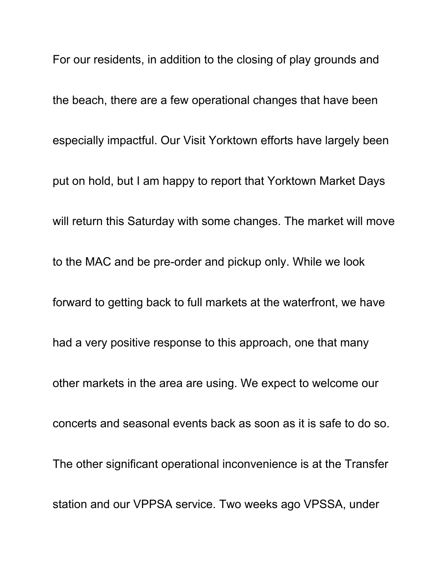For our residents, in addition to the closing of play grounds and the beach, there are a few operational changes that have been especially impactful. Our Visit Yorktown efforts have largely been put on hold, but I am happy to report that Yorktown Market Days will return this Saturday with some changes. The market will move to the MAC and be pre-order and pickup only. While we look forward to getting back to full markets at the waterfront, we have had a very positive response to this approach, one that many other markets in the area are using. We expect to welcome our concerts and seasonal events back as soon as it is safe to do so. The other significant operational inconvenience is at the Transfer station and our VPPSA service. Two weeks ago VPSSA, under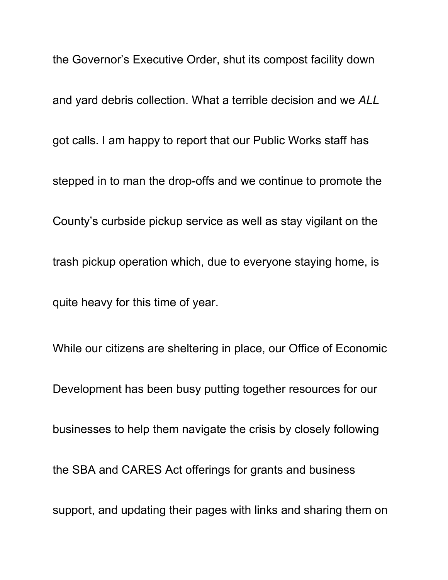the Governor's Executive Order, shut its compost facility down and yard debris collection. What a terrible decision and we *ALL*  got calls. I am happy to report that our Public Works staff has stepped in to man the drop-offs and we continue to promote the County's curbside pickup service as well as stay vigilant on the trash pickup operation which, due to everyone staying home, is quite heavy for this time of year.

While our citizens are sheltering in place, our Office of Economic Development has been busy putting together resources for our businesses to help them navigate the crisis by closely following the SBA and CARES Act offerings for grants and business support, and updating their pages with links and sharing them on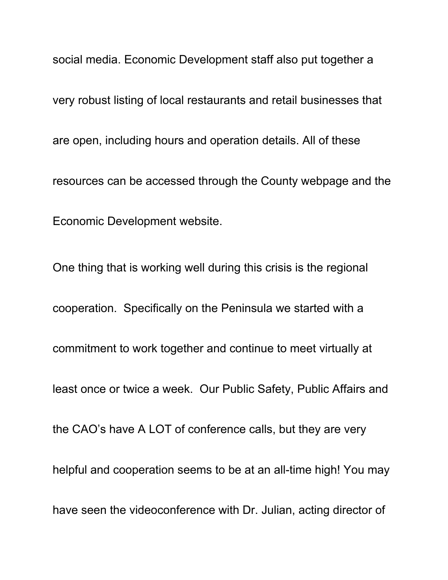social media. Economic Development staff also put together a very robust listing of local restaurants and retail businesses that are open, including hours and operation details. All of these resources can be accessed through the County webpage and the Economic Development website.

One thing that is working well during this crisis is the regional cooperation. Specifically on the Peninsula we started with a commitment to work together and continue to meet virtually at least once or twice a week. Our Public Safety, Public Affairs and the CAO's have A LOT of conference calls, but they are very helpful and cooperation seems to be at an all-time high! You may have seen the videoconference with Dr. Julian, acting director of